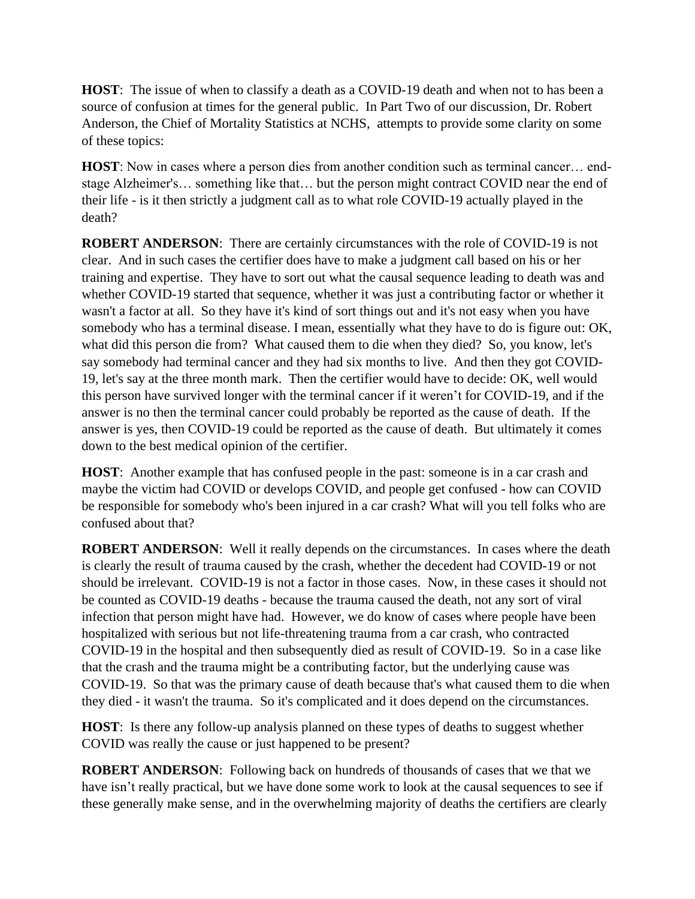**HOST**: The issue of when to classify a death as a COVID-19 death and when not to has been a source of confusion at times for the general public. In Part Two of our discussion, Dr. Robert Anderson, the Chief of Mortality Statistics at NCHS, attempts to provide some clarity on some of these topics:

**HOST**: Now in cases where a person dies from another condition such as terminal cancer… endstage Alzheimer's… something like that… but the person might contract COVID near the end of their life - is it then strictly a judgment call as to what role COVID-19 actually played in the death?

**ROBERT ANDERSON**: There are certainly circumstances with the role of COVID-19 is not clear. And in such cases the certifier does have to make a judgment call based on his or her training and expertise. They have to sort out what the causal sequence leading to death was and whether COVID-19 started that sequence, whether it was just a contributing factor or whether it wasn't a factor at all. So they have it's kind of sort things out and it's not easy when you have somebody who has a terminal disease. I mean, essentially what they have to do is figure out: OK, what did this person die from? What caused them to die when they died? So, you know, let's say somebody had terminal cancer and they had six months to live. And then they got COVID-19, let's say at the three month mark. Then the certifier would have to decide: OK, well would this person have survived longer with the terminal cancer if it weren't for COVID-19, and if the answer is no then the terminal cancer could probably be reported as the cause of death. If the answer is yes, then COVID-19 could be reported as the cause of death. But ultimately it comes down to the best medical opinion of the certifier.

**HOST**: Another example that has confused people in the past: someone is in a car crash and maybe the victim had COVID or develops COVID, and people get confused - how can COVID be responsible for somebody who's been injured in a car crash? What will you tell folks who are confused about that?

**ROBERT ANDERSON**: Well it really depends on the circumstances. In cases where the death is clearly the result of trauma caused by the crash, whether the decedent had COVID-19 or not should be irrelevant. COVID-19 is not a factor in those cases. Now, in these cases it should not be counted as COVID-19 deaths - because the trauma caused the death, not any sort of viral infection that person might have had. However, we do know of cases where people have been hospitalized with serious but not life-threatening trauma from a car crash, who contracted COVID-19 in the hospital and then subsequently died as result of COVID-19. So in a case like that the crash and the trauma might be a contributing factor, but the underlying cause was COVID-19. So that was the primary cause of death because that's what caused them to die when they died - it wasn't the trauma. So it's complicated and it does depend on the circumstances.

**HOST**: Is there any follow-up analysis planned on these types of deaths to suggest whether COVID was really the cause or just happened to be present?

**ROBERT ANDERSON**: Following back on hundreds of thousands of cases that we that we have isn't really practical, but we have done some work to look at the causal sequences to see if these generally make sense, and in the overwhelming majority of deaths the certifiers are clearly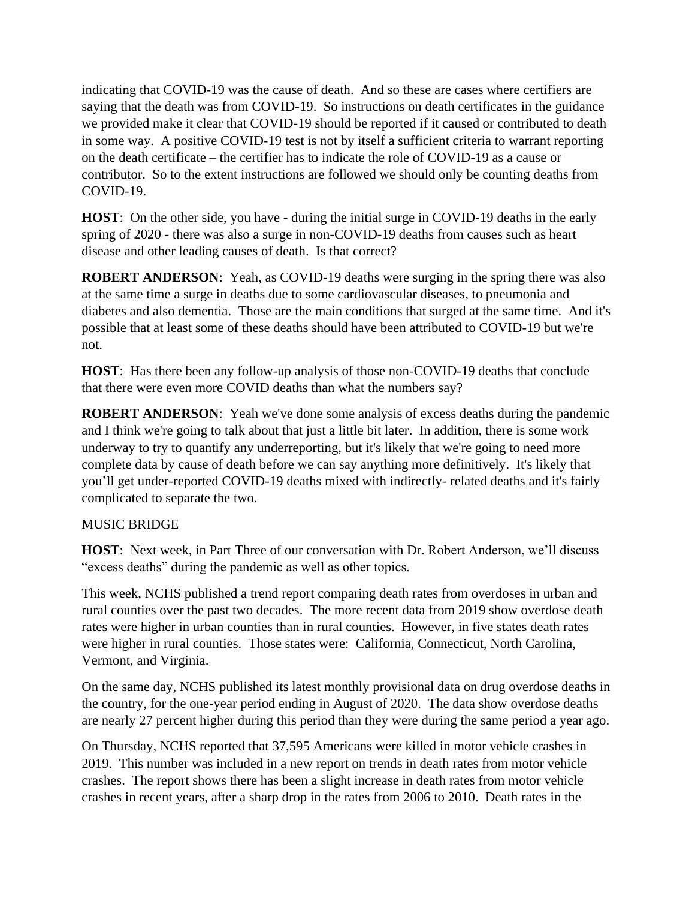indicating that COVID-19 was the cause of death. And so these are cases where certifiers are saying that the death was from COVID-19. So instructions on death certificates in the guidance we provided make it clear that COVID-19 should be reported if it caused or contributed to death in some way. A positive COVID-19 test is not by itself a sufficient criteria to warrant reporting on the death certificate – the certifier has to indicate the role of COVID-19 as a cause or contributor. So to the extent instructions are followed we should only be counting deaths from COVID-19.

**HOST**: On the other side, you have - during the initial surge in COVID-19 deaths in the early spring of 2020 - there was also a surge in non-COVID-19 deaths from causes such as heart disease and other leading causes of death. Is that correct?

**ROBERT ANDERSON:** Yeah, as COVID-19 deaths were surging in the spring there was also at the same time a surge in deaths due to some cardiovascular diseases, to pneumonia and diabetes and also dementia. Those are the main conditions that surged at the same time. And it's possible that at least some of these deaths should have been attributed to COVID-19 but we're not.

**HOST**: Has there been any follow-up analysis of those non-COVID-19 deaths that conclude that there were even more COVID deaths than what the numbers say?

**ROBERT ANDERSON**: Yeah we've done some analysis of excess deaths during the pandemic and I think we're going to talk about that just a little bit later. In addition, there is some work underway to try to quantify any underreporting, but it's likely that we're going to need more complete data by cause of death before we can say anything more definitively. It's likely that you'll get under-reported COVID-19 deaths mixed with indirectly- related deaths and it's fairly complicated to separate the two.

## MUSIC BRIDGE

**HOST**: Next week, in Part Three of our conversation with Dr. Robert Anderson, we'll discuss "excess deaths" during the pandemic as well as other topics.

This week, NCHS published a trend report comparing death rates from overdoses in urban and rural counties over the past two decades. The more recent data from 2019 show overdose death rates were higher in urban counties than in rural counties. However, in five states death rates were higher in rural counties. Those states were: California, Connecticut, North Carolina, Vermont, and Virginia.

On the same day, NCHS published its latest monthly provisional data on drug overdose deaths in the country, for the one-year period ending in August of 2020. The data show overdose deaths are nearly 27 percent higher during this period than they were during the same period a year ago.

On Thursday, NCHS reported that 37,595 Americans were killed in motor vehicle crashes in 2019. This number was included in a new report on trends in death rates from motor vehicle crashes. The report shows there has been a slight increase in death rates from motor vehicle crashes in recent years, after a sharp drop in the rates from 2006 to 2010. Death rates in the